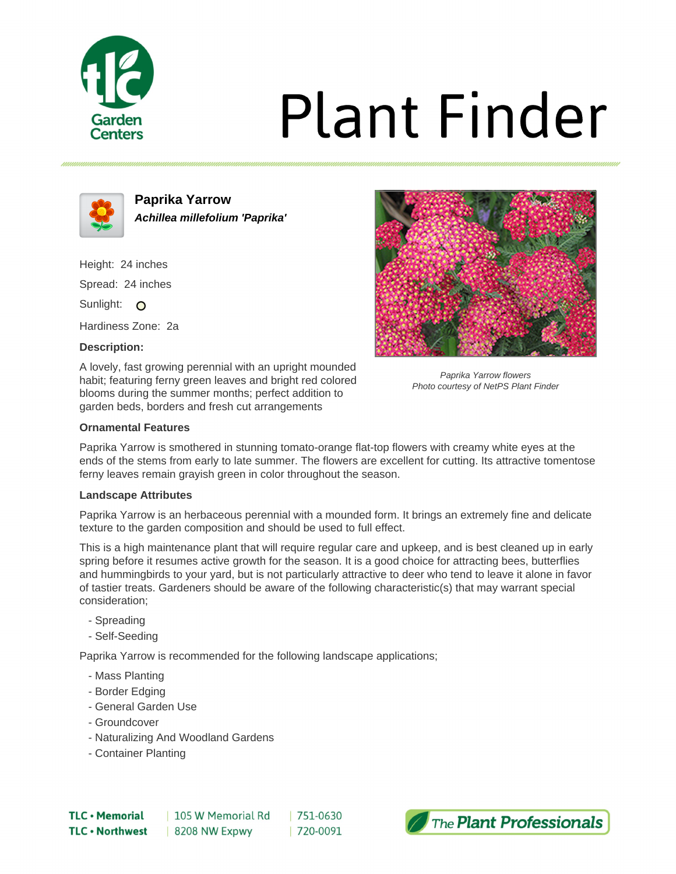

# **Plant Finder**



**Paprika Yarrow Achillea millefolium 'Paprika'**

Height: 24 inches Spread: 24 inches Sunlight: O Hardiness Zone: 2a

# **Description:**

A lovely, fast growing perennial with an upright mounded habit; featuring ferny green leaves and bright red colored blooms during the summer months; perfect addition to garden beds, borders and fresh cut arrangements



Paprika Yarrow flowers Photo courtesy of NetPS Plant Finder

## **Ornamental Features**

Paprika Yarrow is smothered in stunning tomato-orange flat-top flowers with creamy white eyes at the ends of the stems from early to late summer. The flowers are excellent for cutting. Its attractive tomentose ferny leaves remain grayish green in color throughout the season.

### **Landscape Attributes**

Paprika Yarrow is an herbaceous perennial with a mounded form. It brings an extremely fine and delicate texture to the garden composition and should be used to full effect.

This is a high maintenance plant that will require regular care and upkeep, and is best cleaned up in early spring before it resumes active growth for the season. It is a good choice for attracting bees, butterflies and hummingbirds to your yard, but is not particularly attractive to deer who tend to leave it alone in favor of tastier treats. Gardeners should be aware of the following characteristic(s) that may warrant special consideration;

- Spreading
- Self-Seeding

Paprika Yarrow is recommended for the following landscape applications;

- Mass Planting
- Border Edging
- General Garden Use
- Groundcover
- Naturalizing And Woodland Gardens
- Container Planting